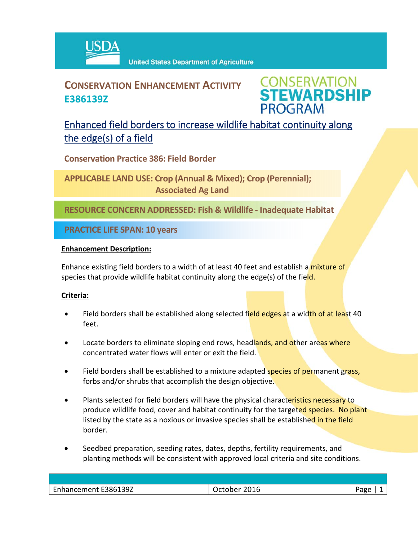

## **CONSERVATION ENHANCEMENT ACTIVITY E386139Z**

**CONSERVATION<br>STEWARDSHIP PROGRAM** 

## Enhanced field borders to increase wildlife habitat continuity along the edge(s) of a field

**Conservation Practice 386: Field Border**

**APPLICABLE LAND USE: Crop (Annual & Mixed); Crop (Perennial); Associated Ag Land**

**RESOURCE CONCERN ADDRESSED: Fish & Wildlife ‐ Inadequate Habitat**

**PRACTICE LIFE SPAN: 10 years**

#### **Enhancement Description:**

Enhance existing field borders to a width of at least 40 feet and establish a mixture of species that provide wildlife habitat continuity along the edge(s) of the field.

### **Criteria:**

- Field borders shall be established along selected field edges at a width of at least 40 feet.
- Locate borders to eliminate sloping end rows, headlands, and other areas where concentrated water flows will enter or exit the field.
- Field borders shall be established to a mixture adapted species of permanent grass, forbs and/or shrubs that accomplish the design objective.
- Plants selected for field borders will have the physical characteristics necessary to produce wildlife food, cover and habitat continuity for the targeted species. No plant listed by the state as a noxious or invasive species shall be established in the field border.
- Seedbed preparation, seeding rates, dates, depths, fertility requirements, and planting methods will be consistent with approved local criteria and site conditions.

| Enhancement E386139Z | 2016<br>∵ctober ∠<br>ັບ | חסבי |
|----------------------|-------------------------|------|
|                      |                         |      |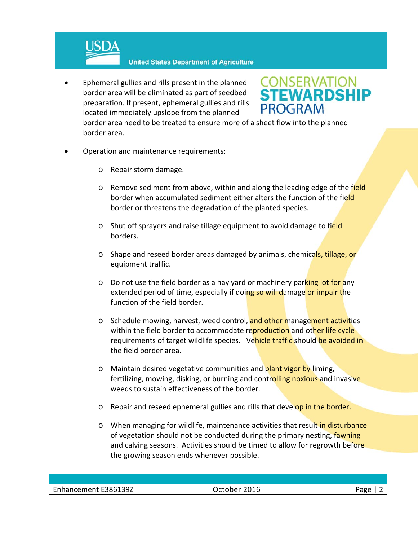

 Ephemeral gullies and rills present in the planned border area will be eliminated as part of seedbed preparation. If present, ephemeral gullies and rills located immediately upslope from the planned

# **CONSERVATION<br>STEWARDSHIP PROGRAM**

border area need to be treated to ensure more of a sheet flow into the planned border area.

- Operation and maintenance requirements:
	- o Repair storm damage.
	- o Remove sediment from above, within and along the leading edge of the field border when accumulated sediment either alters the function of the field border or threatens the degradation of the planted species.
	- o Shut off sprayers and raise tillage equipment to avoid damage to field borders.
	- o Shape and reseed border areas damaged by animals, chemicals, tillage, or equipment traffic.
	- $\circ$  Do not use the field border as a hay yard or machinery parking lot for any extended period of time, especially if doing so will damage or impair the function of the field border.
	- o Schedule mowing, harvest, weed control, and other management activities within the field border to accommodate reproduction and other life cycle requirements of target wildlife species. Vehicle traffic should be avoided in the field border area.
	- o Maintain desired vegetative communities and plant vigor by liming, fertilizing, mowing, disking, or burning and controlling noxious and invasive weeds to sustain effectiveness of the border.
	- o Repair and reseed ephemeral gullies and rills that develop in the border.
	- o When managing for wildlife, maintenance activities that result in disturbance of vegetation should not be conducted during the primary nesting, fawning and calving seasons. Activities should be timed to allow for regrowth before the growing season ends whenever possible.

| Enhancement E386139Z | 2016<br>October | Page |
|----------------------|-----------------|------|